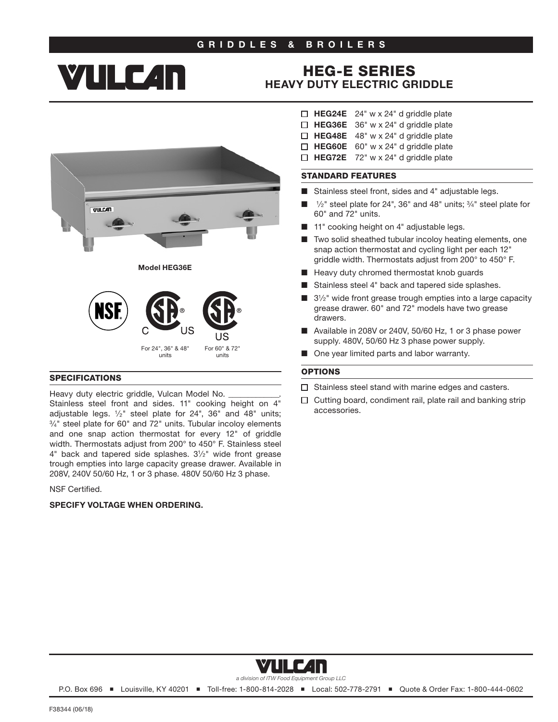### GRIDDLES & BROILERS

# **YTILE 4n**

## HEG-E SERIES [HEAVY DUTY ELECTRIC GRIDDLE](http://www.vulcanequipment.com/Products/HEG-Series-Electric-Griddles/)



#### SPECIFICATIONS

Heavy duty electric griddle, Vulcan Model No. Stainless steel front and sides. 11" cooking height on  $4$ " adjustable legs.  $1/2$ " steel plate for 24", 36" and 48" units;  $3/4$ " steel plate for 60" and 72" units. Tubular incoloy elements and one snap action thermostat for every 12" of griddle width. Thermostats adjust from 200° to 450° F. Stainless steel 4" back and tapered side splashes. 31⁄2" wide front grease trough empties into large capacity grease drawer. Available in 208V, 240V 50/60 Hz, 1 or 3 phase. 480V 50/60 Hz 3 phase.

NSF Certified.

#### SPECIFY VOLTAGE WHEN ORDERING.

- $\Box$  HEG24E 24" w x 24" d griddle plate
- $\Box$  HEG36E 36" w x 24" d griddle plate
- $\Box$  HEG48E 48" w x 24" d griddle plate
- $\Box$  HEG60E 60" w x 24" d griddle plate  $\Box$  HEG72E 72" w x 24" d griddle plate

#### STANDARD FEATURES

- Stainless steel front, sides and 4" adjustable legs.
- $\frac{1}{2}$ " steel plate for 24", 36" and 48" units;  $\frac{3}{4}$ " steel plate for 60" and 72" units.
- 11" cooking height on 4" adjustable legs.
- Two solid sheathed tubular incoloy heating elements, one snap action thermostat and cycling light per each 12" griddle width. Thermostats adjust from 200° to 450° F.
- Heavy duty chromed thermostat knob guards
- Stainless steel 4" back and tapered side splashes.
- $3\frac{1}{2}$ " wide front grease trough empties into a large capacity grease drawer. 60" and 72" models have two grease drawers.
- Available in 208V or 240V, 50/60 Hz, 1 or 3 phase power supply. 480V, 50/60 Hz 3 phase power supply.
- One year limited parts and labor warranty.

#### **OPTIONS**

- $\Box$  Stainless steel stand with marine edges and casters.
- $\Box$  Cutting board, condiment rail, plate rail and banking strip accessories.



*a division of ITW Food Equipment Group LLC*